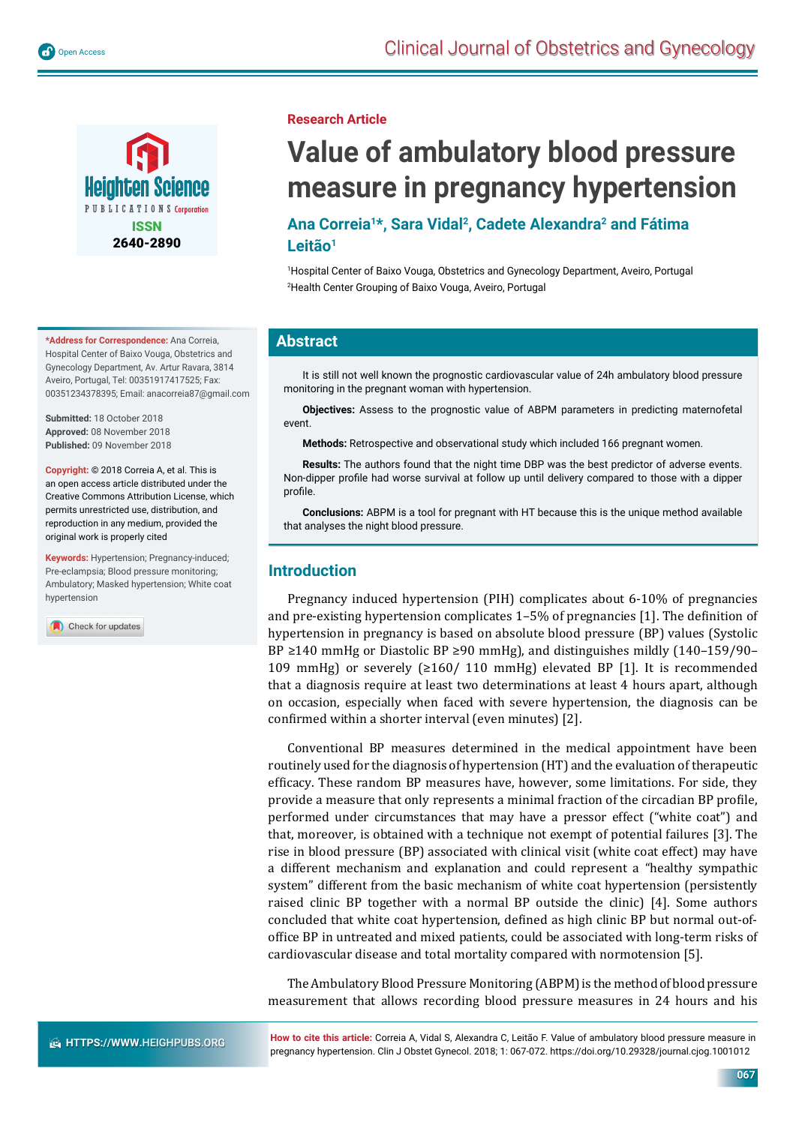



**\*Address for Correspondence:** Ana Correia, Hospital Center of Baixo Vouga, Obstetrics and Gynecology Department, Av. Artur Ravara, 3814 Aveiro, Portugal, Tel: 00351917417525; Fax: 00351234378395; Email: anacorreia87@gmail.com

**Submitted:** 18 October 2018 **Approved:** 08 November 2018 **Published:** 09 November 2018

**Copyright:** © 2018 Correia A, et al. This is an open access article distributed under the Creative Commons Attribution License, which permits unrestricted use, distribution, and reproduction in any medium, provided the original work is properly cited

**Keywords:** Hypertension; Pregnancy-induced; Pre-eclampsia; Blood pressure monitoring; Ambulatory; Masked hypertension; White coat hypertension

Check for updates

#### **Research Article**

# **Value of ambulatory blood pressure measure in pregnancy hypertension**

# **Ana Correia1\*, Sara Vidal2, Cadete Alexandra2 and Fátima Leitão1**

1 Hospital Center of Baixo Vouga, Obstetrics and Gynecology Department, Aveiro, Portugal 2 Health Center Grouping of Baixo Vouga, Aveiro, Portugal

# **Abstract**

It is still not well known the prognostic cardiovascular value of 24h ambulatory blood pressure monitoring in the pregnant woman with hypertension.

**Objectives:** Assess to the prognostic value of ABPM parameters in predicting maternofetal event.

**Methods:** Retrospective and observational study which included 166 pregnant women.

**Results:** The authors found that the night time DBP was the best predictor of adverse events. Non-dipper profile had worse survival at follow up until delivery compared to those with a dipper profi le.

**Conclusions:** ABPM is a tool for pregnant with HT because this is the unique method available that analyses the night blood pressure.

### **Introduction**

Pregnancy induced hypertension (PIH) complicates about 6-10% of pregnancies and pre-existing hypertension complicates  $1-5%$  of pregnancies [1]. The definition of hypertension in pregnancy is based on absolute blood pressure (BP) values (Systolic BP ≥140 mmHg or Diastolic BP ≥90 mmHg), and distinguishes mildly (140–159/90– 109 mmHg) or severely (≥160/ 110 mmHg) elevated BP [1]. It is recommended that a diagnosis require at least two determinations at least 4 hours apart, although on occasion, especially when faced with severe hypertension, the diagnosis can be confirmed within a shorter interval (even minutes) [2].

Conventional BP measures determined in the medical appointment have been routinely used for the diagnosis of hypertension (HT) and the evaluation of therapeutic efficacy. These random BP measures have, however, some limitations. For side, they provide a measure that only represents a minimal fraction of the circadian BP profile, performed under circumstances that may have a pressor effect ("white coat") and that, moreover, is obtained with a technique not exempt of potential failures [3]. The rise in blood pressure (BP) associated with clinical visit (white coat effect) may have a different mechanism and explanation and could represent a "healthy sympathic system" different from the basic mechanism of white coat hypertension (persistently raised clinic BP together with a normal BP outside the clinic) [4]. Some authors concluded that white coat hypertension, defined as high clinic BP but normal out-ofoffice BP in untreated and mixed patients, could be associated with long-term risks of cardiovascular disease and total mortality compared with normotension [5].

The Ambulatory Blood Pressure Monitoring (ABPM) is the method of blood pressure measurement that allows recording blood pressure measures in 24 hours and his

**How to cite this article:** Correia A, Vidal S, Alexandra C, Leitão F. Value of ambulatory blood pressure measure in pregnancy hypertension. Clin J Obstet Gynecol. 2018; 1: 067-072. https://doi.org/10.29328/journal.cjog.1001012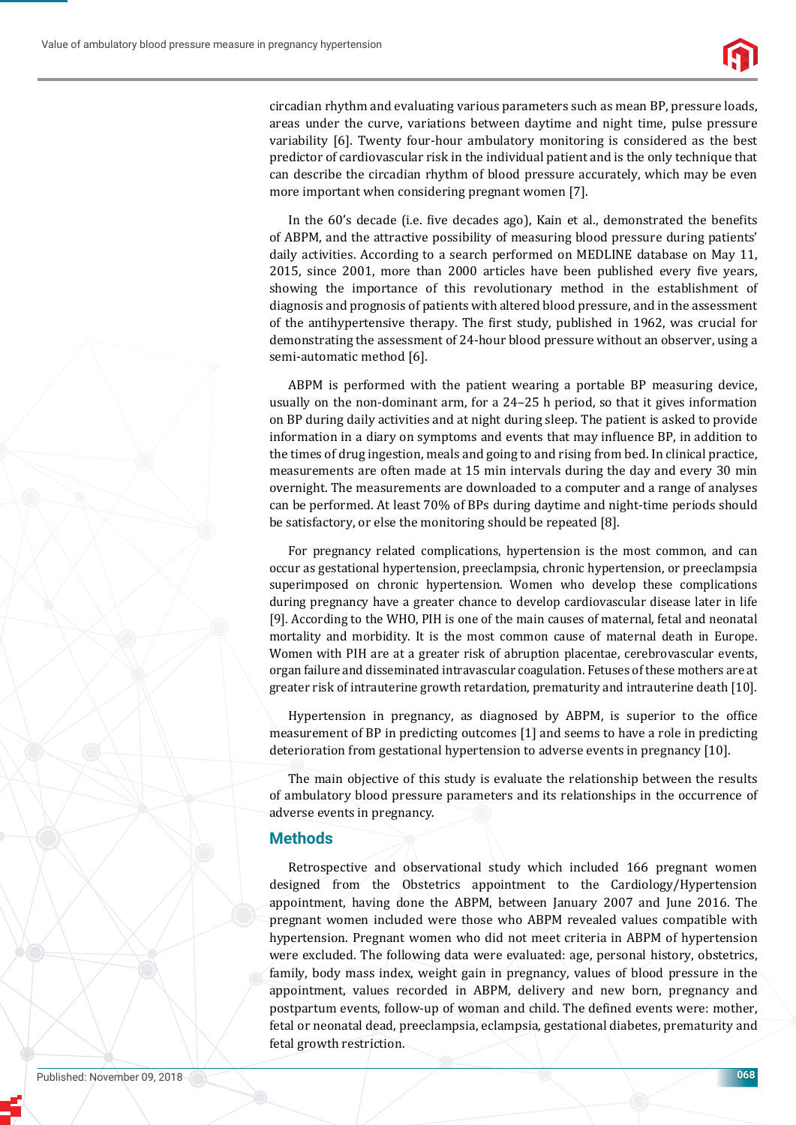

circadian rhythm and evaluating various parameters such as mean BP, pressure loads, areas under the curve, variations between daytime and night time, pulse pressure variability [6]. Twenty four-hour ambulatory monitoring is considered as the best predictor of cardiovascular risk in the individual patient and is the only technique that can describe the circadian rhythm of blood pressure accurately, which may be even more important when considering pregnant women [7].

In the 60's decade (i.e. five decades ago), Kain et al., demonstrated the benefits of ABPM, and the attractive possibility of measuring blood pressure during patients' daily activities. According to a search performed on MEDLINE database on May 11, 2015, since 2001, more than 2000 articles have been published every five years, showing the importance of this revolutionary method in the establishment of diagnosis and prognosis of patients with altered blood pressure, and in the assessment of the antihypertensive therapy. The first study, published in 1962, was crucial for demonstrating the assessment of 24-hour blood pressure without an observer, using a semi-automatic method [6].

ABPM is performed with the patient wearing a portable BP measuring device, usually on the non-dominant arm, for a 24–25 h period, so that it gives information on BP during daily activities and at night during sleep. The patient is asked to provide information in a diary on symptoms and events that may influence BP, in addition to the times of drug ingestion, meals and going to and rising from bed. In clinical practice, measurements are often made at 15 min intervals during the day and every 30 min overnight. The measurements are downloaded to a computer and a range of analyses can be performed. At least 70% of BPs during daytime and night-time periods should be satisfactory, or else the monitoring should be repeated [8].

For pregnancy related complications, hypertension is the most common, and can occur as gestational hypertension, preeclampsia, chronic hypertension, or preeclampsia superimposed on chronic hypertension. Women who develop these complications during pregnancy have a greater chance to develop cardiovascular disease later in life [9]. According to the WHO, PIH is one of the main causes of maternal, fetal and neonatal mortality and morbidity. It is the most common cause of maternal death in Europe. Women with PIH are at a greater risk of abruption placentae, cerebrovascular events, organ failure and disseminated intravascular coagulation. Fetuses of these mothers are at greater risk of intrauterine growth retardation, prematurity and intrauterine death [10].

Hypertension in pregnancy, as diagnosed by ABPM, is superior to the office measurement of BP in predicting outcomes [1] and seems to have a role in predicting deterioration from gestational hypertension to adverse events in pregnancy [10].

The main objective of this study is evaluate the relationship between the results of ambulatory blood pressure parameters and its relationships in the occurrence of adverse events in pregnancy.

### **Methods**

Retrospective and observational study which included 166 pregnant women designed from the Obstetrics appointment to the Cardiology/Hypertension appointment, having done the ABPM, between January 2007 and June 2016. The pregnant women included were those who ABPM revealed values compatible with hypertension. Pregnant women who did not meet criteria in ABPM of hypertension were excluded. The following data were evaluated: age, personal history, obstetrics, family, body mass index, weight gain in pregnancy, values of blood pressure in the appointment, values recorded in ABPM, delivery and new born, pregnancy and postpartum events, follow-up of woman and child. The defined events were: mother, fetal or neonatal dead, preeclampsia, eclampsia, gestational diabetes, prematurity and fetal growth restriction.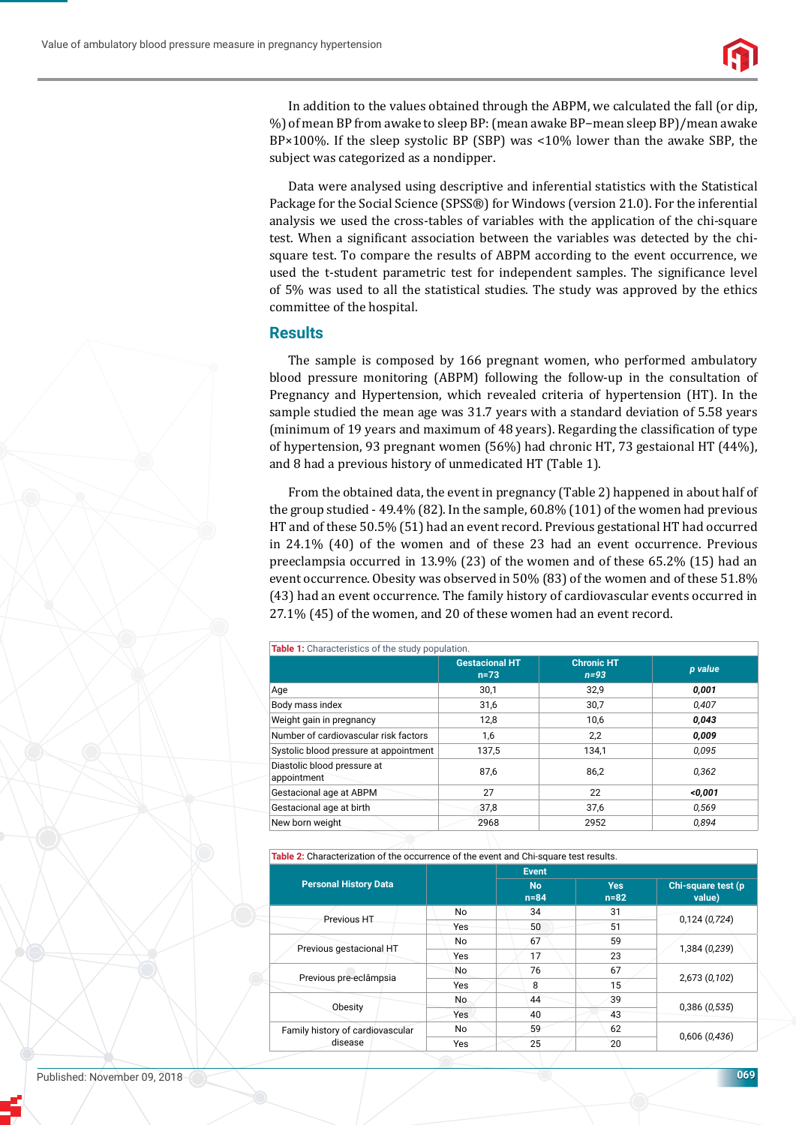

In addition to the values obtained through the ABPM, we calculated the fall (or dip, %) of mean BP from awake to sleep BP: (mean awake BP−mean sleep BP)/mean awake BP×100%. If the sleep systolic BP (SBP) was <10% lower than the awake SBP, the subject was categorized as a nondipper.

Data were analysed using descriptive and inferential statistics with the Statistical Package for the Social Science (SPSS®) for Windows (version 21.0). For the inferential analysis we used the cross-tables of variables with the application of the chi-square test. When a significant association between the variables was detected by the chisquare test. To compare the results of ABPM according to the event occurrence, we used the t-student parametric test for independent samples. The significance level of 5% was used to all the statistical studies. The study was approved by the ethics committee of the hospital.

#### **Results**

The sample is composed by 166 pregnant women, who performed ambulatory blood pressure monitoring (ABPM) following the follow-up in the consultation of Pregnancy and Hypertension, which revealed criteria of hypertension (HT). In the sample studied the mean age was 31.7 years with a standard deviation of 5.58 years (minimum of 19 years and maximum of 48 years). Regarding the classification of type of hypertension, 93 pregnant women (56%) had chronic HT, 73 gestaional HT (44%), and 8 had a previous history of unmedicated HT (Table 1).

From the obtained data, the event in pregnancy (Table 2) happened in about half of the group studied - 49.4% (82). In the sample, 60.8% (101) of the women had previous HT and of these 50.5% (51) had an event record. Previous gestational HT had occurred in 24.1% (40) of the women and of these 23 had an event occurrence. Previous preeclampsia occurred in 13.9% (23) of the women and of these 65.2% (15) had an event occurrence. Obesity was observed in 50% (83) of the women and of these 51.8% (43) had an event occurrence. The family history of cardiovascular events occurred in 27.1% (45) of the women, and 20 of these women had an event record.

| Table 1: Characteristics of the study population. |                                                                  |       |         |  |  |
|---------------------------------------------------|------------------------------------------------------------------|-------|---------|--|--|
|                                                   | <b>Gestacional HT</b><br><b>Chronic HT</b><br>$n=93$<br>$n = 73$ |       | p value |  |  |
| Age                                               | 30,1                                                             | 32,9  | 0,001   |  |  |
| Body mass index                                   | 31,6                                                             | 30,7  | 0,407   |  |  |
| Weight gain in pregnancy                          | 12,8                                                             | 10,6  | 0,043   |  |  |
| Number of cardiovascular risk factors             | 1,6                                                              | 2,2   | 0,009   |  |  |
| Systolic blood pressure at appointment            | 137,5                                                            | 134,1 | 0.095   |  |  |
| Diastolic blood pressure at<br>appointment        | 87,6                                                             | 86.2  | 0.362   |  |  |
| Gestacional age at ABPM                           | 27                                                               | 22    | < 0.001 |  |  |
| Gestacional age at birth                          | 37,8                                                             | 37,6  | 0.569   |  |  |
| New born weight                                   | 2968                                                             | 2952  | 0.894   |  |  |

**Table 2:** Characterization of the occurrence of the event and Chi-square test results.

|                                             |           | <b>Event</b>        |                        |                               |  |
|---------------------------------------------|-----------|---------------------|------------------------|-------------------------------|--|
| <b>Personal History Data</b>                |           | <b>No</b><br>$n=84$ | <b>Yes</b><br>$n = 82$ | Chi-square test (p)<br>value) |  |
|                                             | No        | 34                  | 31                     | 0,124(0,724)                  |  |
| Previous HT                                 | Yes       | 50                  | 51                     |                               |  |
| Previous gestacional HT                     | No        | 67                  | 59                     | 1,384 (0,239)                 |  |
|                                             | Yes       | 17                  | 23                     |                               |  |
| Previous pre-eclâmpsia                      | No        | 76                  | 67                     | 2,673 (0,102)                 |  |
|                                             | Yes       | 8                   | 15                     |                               |  |
| Obesity                                     | <b>No</b> | 44                  | 39                     | 0,386(0,535)                  |  |
|                                             | Yes       | 40                  | 43                     |                               |  |
| Family history of cardiovascular<br>disease | No        | 59                  | 62                     | 0,606(0,436)                  |  |
|                                             | Yes       | 25                  | 20                     |                               |  |

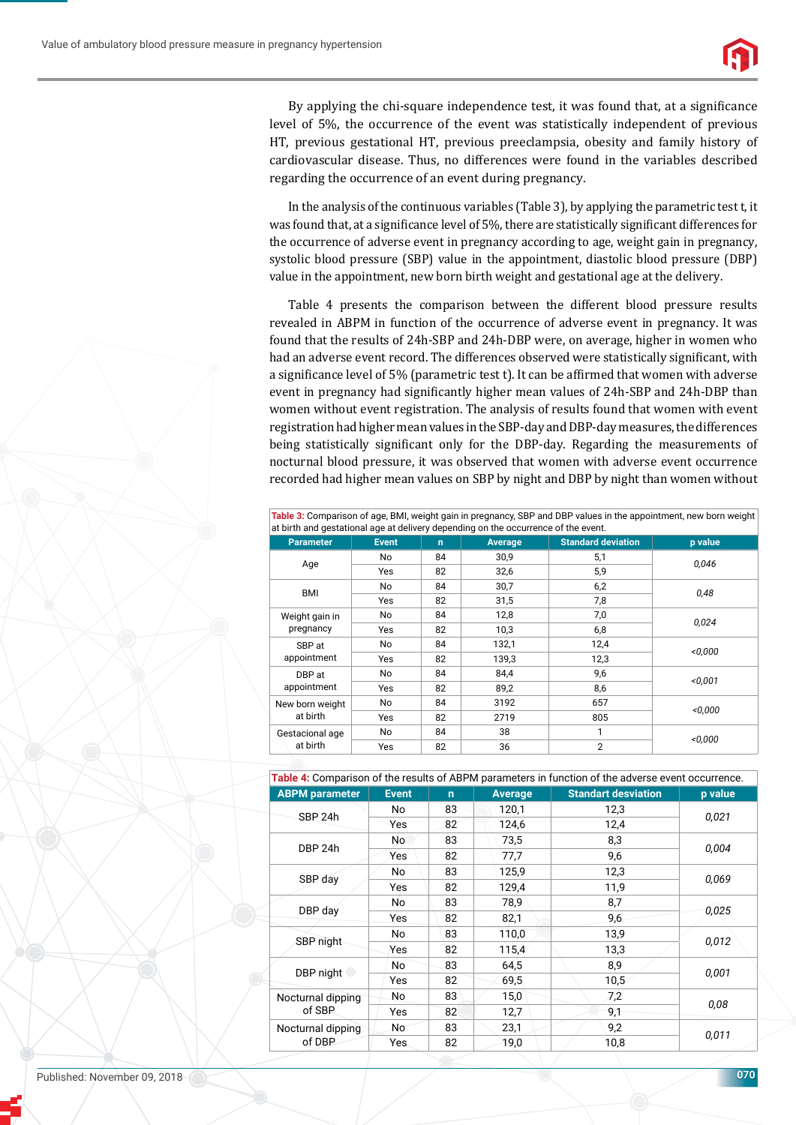

By applying the chi-square independence test, it was found that, at a significance level of 5%, the occurrence of the event was statistically independent of previous HT, previous gestational HT, previous preeclampsia, obesity and family history of cardiovascular disease. Thus, no differences were found in the variables described regarding the occurrence of an event during pregnancy.

In the analysis of the continuous variables (Table 3), by applying the parametric test t, it was found that, at a significance level of 5%, there are statistically significant differences for the occurrence of adverse event in pregnancy according to age, weight gain in pregnancy, systolic blood pressure (SBP) value in the appointment, diastolic blood pressure (DBP) value in the appointment, new born birth weight and gestational age at the delivery.

Table 4 presents the comparison between the different blood pressure results revealed in ABPM in function of the occurrence of adverse event in pregnancy. It was found that the results of 24h-SBP and 24h-DBP were, on average, higher in women who had an adverse event record. The differences observed were statistically significant, with a significance level of 5% (parametric test t). It can be affirmed that women with adverse event in pregnancy had significantly higher mean values of 24h-SBP and 24h-DBP than women without event registration. The analysis of results found that women with event registration had higher mean values in the SBP-day and DBP-day measures, the differences being statistically significant only for the DBP-day. Regarding the measurements of nocturnal blood pressure, it was observed that women with adverse event occurrence recorded had higher mean values on SBP by night and DBP by night than women without

**Table 3:** Comparison of age, BMI, weight gain in pregnancy, SBP and DBP values in the appointment, new born weight

| <b>Parameter</b>            | <b>Event</b> | $\mathbf n$ | <b>Average</b> | <b>Standard deviation</b> | p value |  |
|-----------------------------|--------------|-------------|----------------|---------------------------|---------|--|
| Age                         | No.          | 84          | 30,9           | 5,1                       | 0.046   |  |
|                             | Yes          | 82          | 32,6           | 5,9                       |         |  |
| <b>BMI</b>                  | No           | 84          | 30,7           | 6,2                       | 0,48    |  |
|                             | Yes          | 82          | 31,5           | 7,8                       |         |  |
| Weight gain in<br>pregnancy | No.          | 84          | 12,8           | 7,0                       | 0,024   |  |
|                             | Yes          | 82          | 10,3           | 6,8                       |         |  |
| SBP at<br>appointment       | No.          | 84          | 132,1          | 12,4                      | < 0.000 |  |
|                             | Yes          | 82          | 139,3          | 12,3                      |         |  |
| DBP at<br>appointment       | No.          | 84          | 84,4           | 9,6                       | < 0.001 |  |
|                             | Yes          | 82          | 89,2           | 8,6                       |         |  |
| New born weight<br>at birth | No.          | 84          | 3192           | 657                       | < 0.000 |  |
|                             | Yes          | 82          | 2719           | 805                       |         |  |
| Gestacional age<br>at birth | No           | 84          | 38             | 1                         |         |  |
|                             | Yes          | 82          | 36             | $\overline{2}$            | < 0.000 |  |

|                             |              |                |                | Table 4: Comparison of the results of ABPM parameters in function of the adverse event occurrence. |         |
|-----------------------------|--------------|----------------|----------------|----------------------------------------------------------------------------------------------------|---------|
| <b>ABPM</b> parameter       | <b>Event</b> | $\overline{ }$ | <b>Average</b> | <b>Standart desviation</b>                                                                         | p value |
| SBP 24h                     | No.          | 83             | 120,1          | 12,3                                                                                               | 0,021   |
|                             | Yes          | 82             | 124,6          | 12,4                                                                                               |         |
| DBP 24h                     | No           | 83             | 73,5           | 8,3                                                                                                | 0,004   |
|                             | Yes          | 82             | 77,7           | 9,6                                                                                                |         |
| SBP day                     | No           | 83             | 125,9          | 12,3                                                                                               | 0,069   |
|                             | Yes          | 82             | 129,4          | 11,9                                                                                               |         |
| DBP day                     | No.          | 83             | 78,9           | 8,7                                                                                                | 0,025   |
|                             | Yes          | 82             | 82,1           | 9,6                                                                                                |         |
| SBP night                   | No           | 83             | 110,0          | 13,9                                                                                               | 0,012   |
|                             | Yes          | 82             | 115,4          | 13,3                                                                                               |         |
| DBP night                   | No           | 83             | 64,5           | 8,9                                                                                                | 0,001   |
|                             | Yes          | 82             | 69,5           | 10,5                                                                                               |         |
| Nocturnal dipping<br>of SBP | No           | 83             | 15,0           | 7,2                                                                                                | 0,08    |
|                             | Yes          | 82             | 12,7           | 9,1                                                                                                |         |
| Nocturnal dipping<br>of DBP | No           | 83             | 23,1           | 9,2                                                                                                | 0,011   |
|                             | <b>Yes</b>   | 82             | 19,0           | 10,8                                                                                               |         |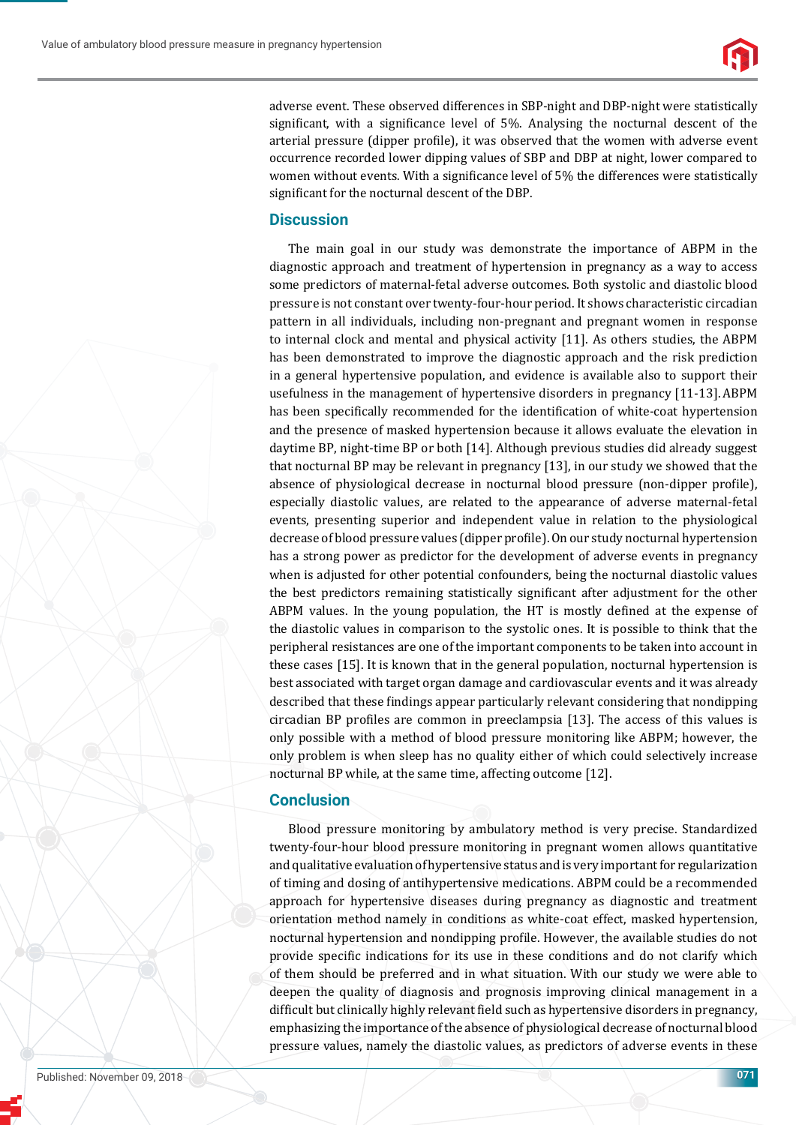

adverse event. These observed differences in SBP-night and DBP-night were statistically significant, with a significance level of  $5\%$ . Analysing the nocturnal descent of the arterial pressure (dipper profile), it was observed that the women with adverse event occurrence recorded lower dipping values of SBP and DBP at night, lower compared to women without events. With a significance level of 5% the differences were statistically significant for the nocturnal descent of the DBP.

### **Discussion**

The main goal in our study was demonstrate the importance of ABPM in the diagnostic approach and treatment of hypertension in pregnancy as a way to access some predictors of maternal-fetal adverse outcomes. Both systolic and diastolic blood pressure is not constant over twenty-four-hour period. It shows characteristic circadian pattern in all individuals, including non-pregnant and pregnant women in response to internal clock and mental and physical activity [11]. As others studies, the ABPM has been demonstrated to improve the diagnostic approach and the risk prediction in a general hypertensive population, and evidence is available also to support their usefulness in the management of hypertensive disorders in pregnancy [11-13]. ABPM has been specifically recommended for the identification of white-coat hypertension and the presence of masked hypertension because it allows evaluate the elevation in daytime BP, night-time BP or both [14]. Although previous studies did already suggest that nocturnal BP may be relevant in pregnancy [13], in our study we showed that the absence of physiological decrease in nocturnal blood pressure (non-dipper profile), especially diastolic values, are related to the appearance of adverse maternal-fetal events, presenting superior and independent value in relation to the physiological decrease of blood pressure values (dipper profile). On our study nocturnal hypertension has a strong power as predictor for the development of adverse events in pregnancy when is adjusted for other potential confounders, being the nocturnal diastolic values the best predictors remaining statistically significant after adjustment for the other ABPM values. In the young population, the HT is mostly defined at the expense of the diastolic values in comparison to the systolic ones. It is possible to think that the peripheral resistances are one of the important components to be taken into account in these cases [15]. It is known that in the general population, nocturnal hypertension is best associated with target organ damage and cardiovascular events and it was already described that these findings appear particularly relevant considering that nondipping circadian BP profiles are common in preeclampsia [13]. The access of this values is only possible with a method of blood pressure monitoring like ABPM; however, the only problem is when sleep has no quality either of which could selectively increase nocturnal BP while, at the same time, affecting outcome [12].

## **Conclusion**

Blood pressure monitoring by ambulatory method is very precise. Standardized twenty-four-hour blood pressure monitoring in pregnant women allows quantitative and qualitative evaluation of hypertensive status and is very important for regularization of timing and dosing of antihypertensive medications. ABPM could be a recommended approach for hypertensive diseases during pregnancy as diagnostic and treatment orientation method namely in conditions as white-coat effect, masked hypertension, nocturnal hypertension and nondipping profile. However, the available studies do not provide specific indications for its use in these conditions and do not clarify which of them should be preferred and in what situation. With our study we were able to deepen the quality of diagnosis and prognosis improving clinical management in a difficult but clinically highly relevant field such as hypertensive disorders in pregnancy, emphasizing the importance of the absence of physiological decrease of nocturnal blood pressure values, namely the diastolic values, as predictors of adverse events in these